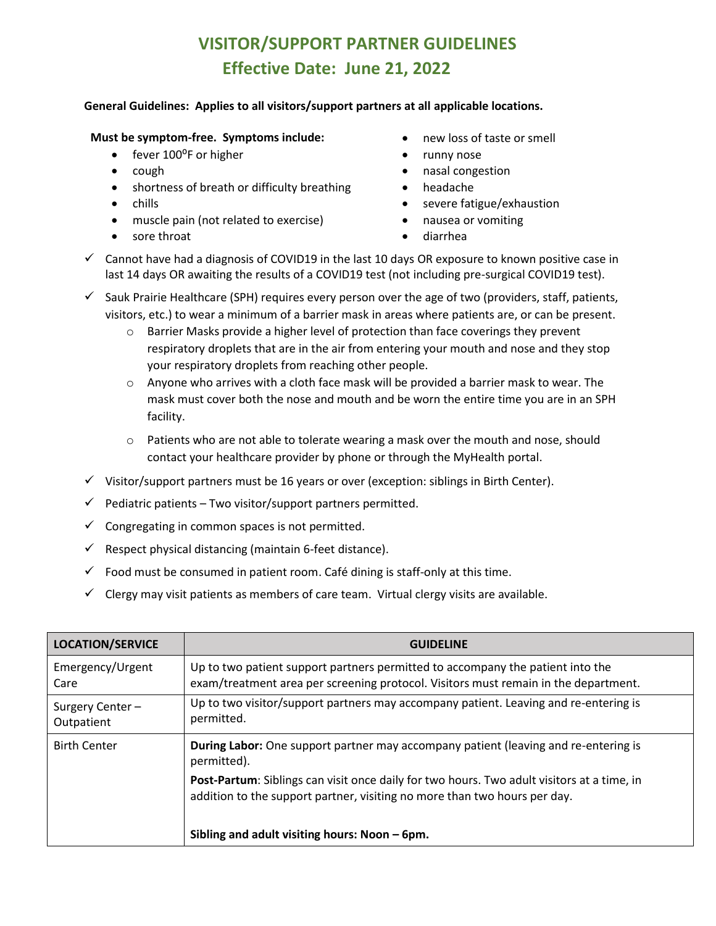## **VISITOR/SUPPORT PARTNER GUIDELINES Effective Date: June 21, 2022**

## **General Guidelines: Applies to all visitors/support partners at all applicable locations.**

## **Must be symptom-free. Symptoms include:** • new loss of taste or smell

- fever 100°F or higher runny nose
- 
- shortness of breath or difficulty breathing headache
- 
- muscle pain (not related to exercise) nausea or vomiting
- sore throat diarrhea
- 
- 
- cough **•** nasal congestion
	-
- chills  **severe fatigue/exhaustion** 
	-
	-
- $\checkmark$  Cannot have had a diagnosis of COVID19 in the last 10 days OR exposure to known positive case in last 14 days OR awaiting the results of a COVID19 test (not including pre-surgical COVID19 test).
- $\checkmark$  Sauk Prairie Healthcare (SPH) requires every person over the age of two (providers, staff, patients, visitors, etc.) to wear a minimum of a barrier mask in areas where patients are, or can be present.
	- $\circ$  Barrier Masks provide a higher level of protection than face coverings they prevent respiratory droplets that are in the air from entering your mouth and nose and they stop your respiratory droplets from reaching other people.
	- $\circ$  Anyone who arrives with a cloth face mask will be provided a barrier mask to wear. The mask must cover both the nose and mouth and be worn the entire time you are in an SPH facility.
	- $\circ$  Patients who are not able to tolerate wearing a mask over the mouth and nose, should contact your healthcare provider by phone or through the MyHealth portal.
- $\checkmark$  Visitor/support partners must be 16 years or over (exception: siblings in Birth Center).
- $\checkmark$  Pediatric patients Two visitor/support partners permitted.
- $\checkmark$  Congregating in common spaces is not permitted.
- $\checkmark$  Respect physical distancing (maintain 6-feet distance).
- $\checkmark$  Food must be consumed in patient room. Café dining is staff-only at this time.
- $\checkmark$  Clergy may visit patients as members of care team. Virtual clergy visits are available.

| <b>LOCATION/SERVICE</b>       | <b>GUIDELINE</b>                                                                                                                                                        |
|-------------------------------|-------------------------------------------------------------------------------------------------------------------------------------------------------------------------|
| Emergency/Urgent<br>Care      | Up to two patient support partners permitted to accompany the patient into the<br>exam/treatment area per screening protocol. Visitors must remain in the department.   |
| Surgery Center-<br>Outpatient | Up to two visitor/support partners may accompany patient. Leaving and re-entering is<br>permitted.                                                                      |
| <b>Birth Center</b>           | During Labor: One support partner may accompany patient (leaving and re-entering is<br>permitted).                                                                      |
|                               | Post-Partum: Siblings can visit once daily for two hours. Two adult visitors at a time, in<br>addition to the support partner, visiting no more than two hours per day. |
|                               | Sibling and adult visiting hours: Noon - 6pm.                                                                                                                           |